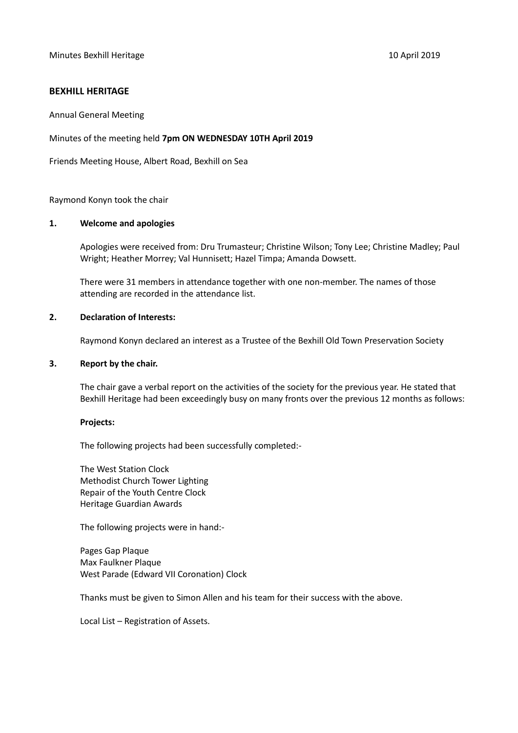# **BEXHILL HERITAGE**

Annual General Meeting

Minutes of the meeting held **7pm ON WEDNESDAY 10TH April 2019**

Friends Meeting House, Albert Road, Bexhill on Sea

Raymond Konyn took the chair

### **1. Welcome and apologies**

Apologies were received from: Dru Trumasteur; Christine Wilson; Tony Lee; Christine Madley; Paul Wright; Heather Morrey; Val Hunnisett; Hazel Timpa; Amanda Dowsett.

There were 31 members in attendance together with one non-member. The names of those attending are recorded in the attendance list.

### **2. Declaration of Interests:**

Raymond Konyn declared an interest as a Trustee of the Bexhill Old Town Preservation Society

#### **3. Report by the chair.**

The chair gave a verbal report on the activities of the society for the previous year. He stated that Bexhill Heritage had been exceedingly busy on many fronts over the previous 12 months as follows:

#### **Projects:**

The following projects had been successfully completed:-

The West Station Clock Methodist Church Tower Lighting Repair of the Youth Centre Clock Heritage Guardian Awards

The following projects were in hand:-

Pages Gap Plaque Max Faulkner Plaque West Parade (Edward VII Coronation) Clock

Thanks must be given to Simon Allen and his team for their success with the above.

Local List – Registration of Assets.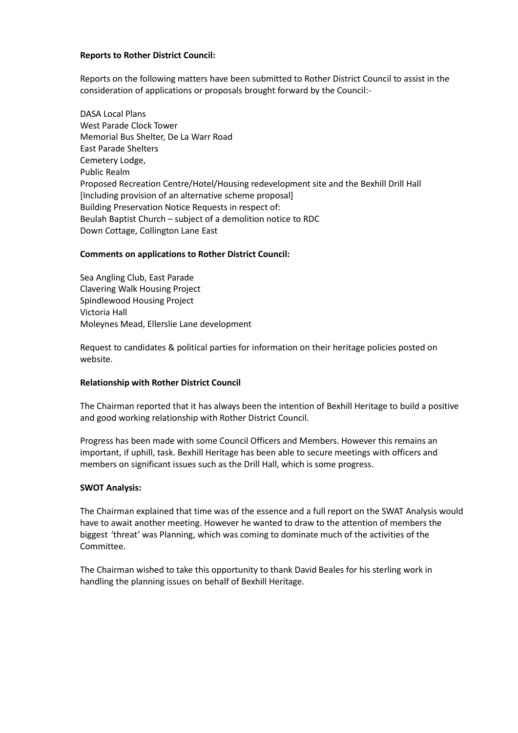## **Reports to Rother District Council:**

Reports on the following matters have been submitted to Rother District Council to assist in the consideration of applications or proposals brought forward by the Council:-

DASA Local Plans West Parade Clock Tower Memorial Bus Shelter, De La Warr Road East Parade Shelters Cemetery Lodge, Public Realm Proposed Recreation Centre/Hotel/Housing redevelopment site and the Bexhill Drill Hall [Including provision of an alternative scheme proposal] Building Preservation Notice Requests in respect of: Beulah Baptist Church – subject of a demolition notice to RDC Down Cottage, Collington Lane East

### **Comments on applications to Rother District Council:**

Sea Angling Club, East Parade Clavering Walk Housing Project Spindlewood Housing Project Victoria Hall Moleynes Mead, Ellerslie Lane development

Request to candidates & political parties for information on their heritage policies posted on website.

### **Relationship with Rother District Council**

The Chairman reported that it has always been the intention of Bexhill Heritage to build a positive and good working relationship with Rother District Council.

Progress has been made with some Council Officers and Members. However this remains an important, if uphill, task. Bexhill Heritage has been able to secure meetings with officers and members on significant issues such as the Drill Hall, which is some progress.

#### **SWOT Analysis:**

The Chairman explained that time was of the essence and a full report on the SWAT Analysis would have to await another meeting. However he wanted to draw to the attention of members the biggest 'threat' was Planning, which was coming to dominate much of the activities of the Committee.

The Chairman wished to take this opportunity to thank David Beales for his sterling work in handling the planning issues on behalf of Bexhill Heritage.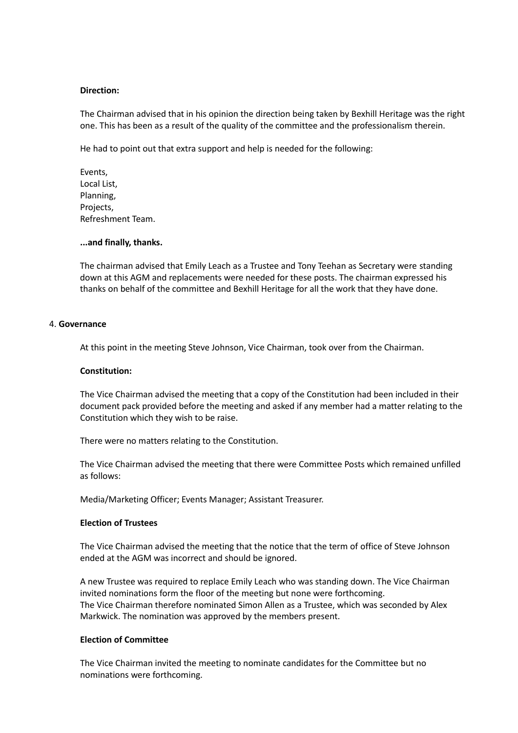### **Direction:**

The Chairman advised that in his opinion the direction being taken by Bexhill Heritage was the right one. This has been as a result of the quality of the committee and the professionalism therein.

He had to point out that extra support and help is needed for the following:

Events, Local List, Planning, Projects, Refreshment Team.

### **...and finally, thanks.**

The chairman advised that Emily Leach as a Trustee and Tony Teehan as Secretary were standing down at this AGM and replacements were needed for these posts. The chairman expressed his thanks on behalf of the committee and Bexhill Heritage for all the work that they have done.

### 4. **Governance**

At this point in the meeting Steve Johnson, Vice Chairman, took over from the Chairman.

### **Constitution:**

The Vice Chairman advised the meeting that a copy of the Constitution had been included in their document pack provided before the meeting and asked if any member had a matter relating to the Constitution which they wish to be raise.

There were no matters relating to the Constitution.

The Vice Chairman advised the meeting that there were Committee Posts which remained unfilled as follows:

Media/Marketing Officer; Events Manager; Assistant Treasurer.

## **Election of Trustees**

The Vice Chairman advised the meeting that the notice that the term of office of Steve Johnson ended at the AGM was incorrect and should be ignored.

A new Trustee was required to replace Emily Leach who was standing down. The Vice Chairman invited nominations form the floor of the meeting but none were forthcoming. The Vice Chairman therefore nominated Simon Allen as a Trustee, which was seconded by Alex Markwick. The nomination was approved by the members present.

## **Election of Committee**

The Vice Chairman invited the meeting to nominate candidates for the Committee but no nominations were forthcoming.